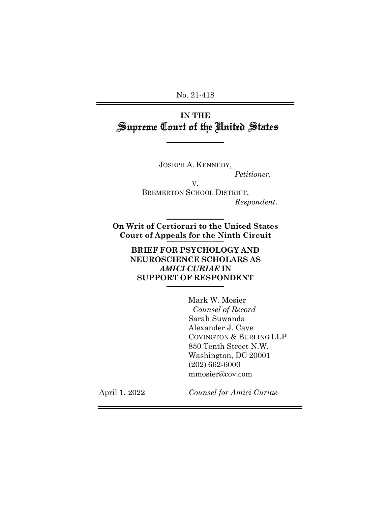No. 21-418

# **IN THE** Supreme Court of the United States

 $\frac{1}{2}$ 

JOSEPH A. KENNEDY,

V.

*Petitioner*,

BREMERTON SCHOOL DISTRICT, *Respondent*.

**On Writ of Certiorari to the United States Court of Appeals for the Ninth Circuit** \_\_\_\_\_\_\_\_\_\_\_\_\_\_\_

 $\frac{1}{2}$ 

**BRIEF FOR PSYCHOLOGY AND NEUROSCIENCE SCHOLARS AS** *AMICI CURIAE* **IN SUPPORT OF RESPONDENT**  $\frac{1}{2}$ 

> Mark W. Mosier  *Counsel of Record* Sarah Suwanda Alexander J. Cave COVINGTON & BURLING LLP 850 Tenth Street N.W. Washington, DC 20001 (202) 662-6000 mmosier@cov.com

April 1, 2022

*Counsel for Amici Curiae*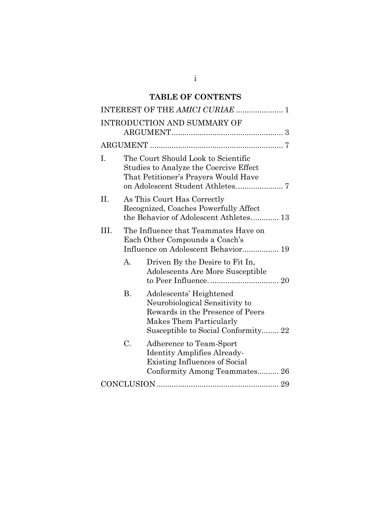## **TABLE OF CONTENTS**

|      |                                                                                                                       | INTEREST OF THE AMICI CURIAE  1                                                                                                                                        |  |  |
|------|-----------------------------------------------------------------------------------------------------------------------|------------------------------------------------------------------------------------------------------------------------------------------------------------------------|--|--|
|      |                                                                                                                       | INTRODUCTION AND SUMMARY OF                                                                                                                                            |  |  |
|      |                                                                                                                       |                                                                                                                                                                        |  |  |
| I.   | The Court Should Look to Scientific<br>Studies to Analyze the Coercive Effect<br>That Petitioner's Prayers Would Have |                                                                                                                                                                        |  |  |
| II.  | As This Court Has Correctly<br>Recognized, Coaches Powerfully Affect<br>the Behavior of Adolescent Athletes 13        |                                                                                                                                                                        |  |  |
| III. | The Influence that Teammates Have on<br>Each Other Compounds a Coach's<br>Influence on Adolescent Behavior 19         |                                                                                                                                                                        |  |  |
|      | А.                                                                                                                    | Driven By the Desire to Fit In,<br>Adolescents Are More Susceptible                                                                                                    |  |  |
|      | <b>B.</b>                                                                                                             | Adolescents' Heightened<br>Neurobiological Sensitivity to<br>Rewards in the Presence of Peers<br><b>Makes Them Particularly</b><br>Susceptible to Social Conformity 22 |  |  |
|      | C.                                                                                                                    | Adherence to Team-Sport<br>Identity Amplifies Already-<br><b>Existing Influences of Social</b><br>Conformity Among Teammates 26                                        |  |  |
|      |                                                                                                                       |                                                                                                                                                                        |  |  |

i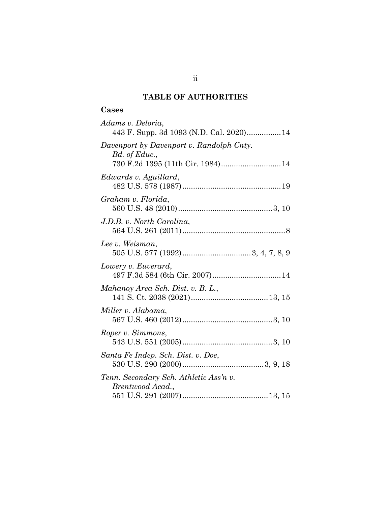## **TABLE OF AUTHORITIES**

## **Cases**

| Adams v. Deloria,<br>443 F. Supp. 3d 1093 (N.D. Cal. 2020) 14                                  |
|------------------------------------------------------------------------------------------------|
| Davenport by Davenport v. Randolph Cnty.<br>Bd. of Educ.,<br>730 F.2d 1395 (11th Cir. 1984) 14 |
| Edwards v. Aguillard,                                                                          |
| Graham v. Florida,                                                                             |
| J.D.B. v. North Carolina,                                                                      |
| Lee v. Weisman,                                                                                |
| Lowery v. Euverard,                                                                            |
| Mahanoy Area Sch. Dist. v. B. L.,                                                              |
| Miller v. Alabama,                                                                             |
| Roper v. Simmons,                                                                              |
| Santa Fe Indep. Sch. Dist. v. Doe,                                                             |
| Tenn. Secondary Sch. Athletic Ass'n v.<br>Brentwood Acad.,                                     |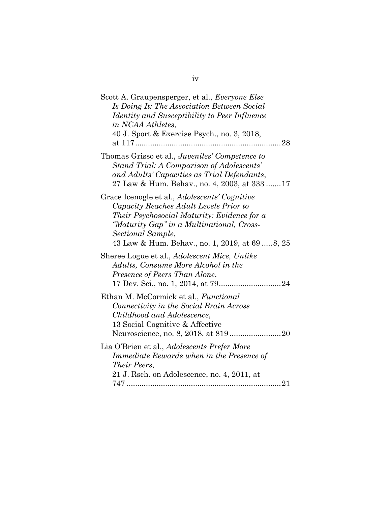| Scott A. Graupensperger, et al., Everyone Else<br>Is Doing It: The Association Between Social<br>Identity and Susceptibility to Peer Influence<br>in NCAA Athletes,<br>40 J. Sport & Exercise Psych., no. 3, 2018,                                          |
|-------------------------------------------------------------------------------------------------------------------------------------------------------------------------------------------------------------------------------------------------------------|
| Thomas Grisso et al., Juveniles' Competence to<br>Stand Trial: A Comparison of Adolescents'<br>and Adults' Capacities as Trial Defendants,<br>27 Law & Hum. Behav., no. 4, 2003, at 333 17                                                                  |
| Grace Icenogle et al., Adolescents' Cognitive<br>Capacity Reaches Adult Levels Prior to<br>Their Psychosocial Maturity: Evidence for a<br>"Maturity Gap" in a Multinational, Cross-<br>Sectional Sample,<br>43 Law & Hum. Behav., no. 1, 2019, at 69  8, 25 |
| Sheree Logue et al., <i>Adolescent Mice</i> , <i>Unlike</i><br>Adults, Consume More Alcohol in the<br>Presence of Peers Than Alone,                                                                                                                         |
| Ethan M. McCormick et al., <i>Functional</i><br>Connectivity in the Social Brain Across<br>Childhood and Adolescence,<br>13 Social Cognitive & Affective                                                                                                    |
| Lia O'Brien et al., Adolescents Prefer More<br>Immediate Rewards when in the Presence of<br>Their Peers,<br>21 J. Rsch. on Adolescence, no. 4, 2011, at                                                                                                     |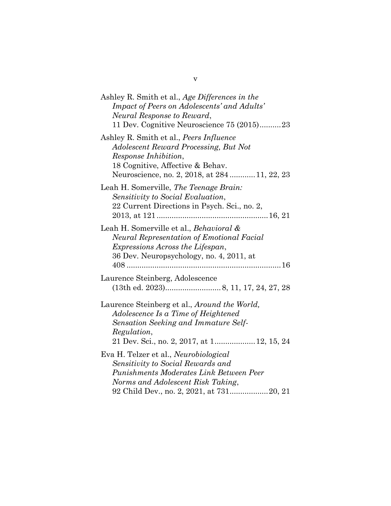| Ashley R. Smith et al., Age Differences in the<br>Impact of Peers on Adolescents' and Adults'<br>Neural Response to Reward,<br>11 Dev. Cognitive Neuroscience 75 (2015)23                               |
|---------------------------------------------------------------------------------------------------------------------------------------------------------------------------------------------------------|
| Ashley R. Smith et al., Peers Influence<br>Adolescent Reward Processing, But Not<br>Response Inhibition,<br>18 Cognitive, Affective & Behav.<br>Neuroscience, no. 2, 2018, at 28411, 22, 23             |
| Leah H. Somerville, The Teenage Brain:<br>Sensitivity to Social Evaluation,<br>22 Current Directions in Psych. Sci., no. 2,                                                                             |
| Leah H. Somerville et al., Behavioral &<br><b>Neural Representation of Emotional Facial</b><br><i>Expressions Across the Lifespan,</i><br>36 Dev. Neuropsychology, no. 4, 2011, at<br>$408$             |
| Laurence Steinberg, Adolescence                                                                                                                                                                         |
| Laurence Steinberg et al., <i>Around the World</i> ,<br>Adolescence Is a Time of Heightened<br><b>Sensation Seeking and Immature Self-</b><br>Regulation,<br>21 Dev. Sci., no. 2, 2017, at 1 12, 15, 24 |
| Eva H. Telzer et al., Neurobiological<br>Sensitivity to Social Rewards and<br>Punishments Moderates Link Between Peer<br>Norms and Adolescent Risk Taking,                                              |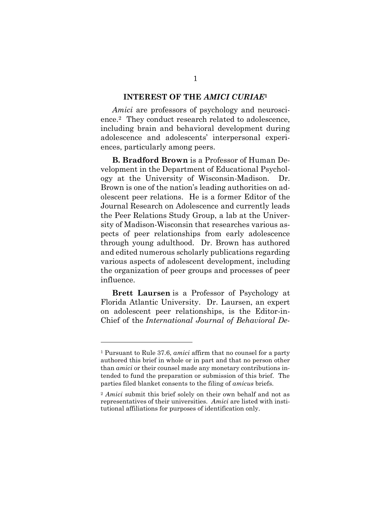#### **INTEREST OF THE** *AMICI CURIAE***<sup>1</sup>**

<span id="page-6-0"></span>*Amici* are professors of psychology and neuroscience.2 They conduct research related to adolescence, including brain and behavioral development during adolescence and adolescents' interpersonal experiences, particularly among peers.

**B. Bradford Brown** is a Professor of Human Development in the Department of Educational Psychology at the University of Wisconsin-Madison. Dr. Brown is one of the nation's leading authorities on adolescent peer relations. He is a former Editor of the Journal Research on Adolescence and currently leads the Peer Relations Study Group, a lab at the University of Madison-Wisconsin that researches various aspects of peer relationships from early adolescence through young adulthood. Dr. Brown has authored and edited numerous scholarly publications regarding various aspects of adolescent development, including the organization of peer groups and processes of peer influence.

**Brett Laursen** is a Professor of Psychology at Florida Atlantic University. Dr. Laursen, an expert on adolescent peer relationships, is the Editor-in-Chief of the *International Journal of Behavioral De-*

l

<sup>1</sup> Pursuant to Rule 37.6, *amici* affirm that no counsel for a party authored this brief in whole or in part and that no person other than *amici* or their counsel made any monetary contributions intended to fund the preparation or submission of this brief. The parties filed blanket consents to the filing of *amicus* briefs.

<sup>2</sup> *Amici* submit this brief solely on their own behalf and not as representatives of their universities. *Amici* are listed with institutional affiliations for purposes of identification only.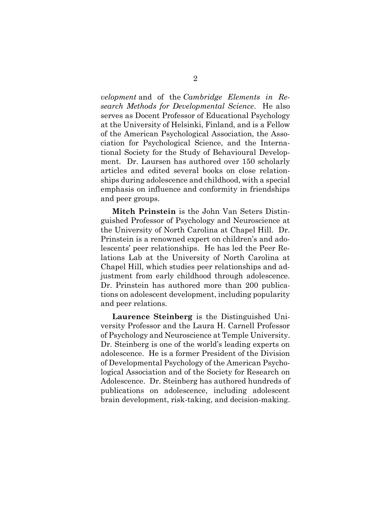*velopment* and of the *Cambridge Elements in Research Methods for Developmental Science*. He also serves as Docent Professor of Educational Psychology at the University of Helsinki, Finland, and is a Fellow of the American Psychological Association, the Association for Psychological Science, and the International Society for the Study of Behavioural Development. Dr. Laursen has authored over 150 scholarly articles and edited several books on close relationships during adolescence and childhood, with a special emphasis on influence and conformity in friendships and peer groups.

**Mitch Prinstein** is the John Van Seters Distinguished Professor of Psychology and Neuroscience at the University of North Carolina at Chapel Hill. Dr. Prinstein is a renowned expert on children's and adolescents' peer relationships. He has led the Peer Relations Lab at the University of North Carolina at Chapel Hill, which studies peer relationships and adjustment from early childhood through adolescence. Dr. Prinstein has authored more than 200 publications on adolescent development, including popularity and peer relations.

**Laurence Steinberg** is the Distinguished University Professor and the Laura H. Carnell Professor of Psychology and Neuroscience at Temple University. Dr. Steinberg is one of the world's leading experts on adolescence. He is a former President of the Division of Developmental Psychology of the American Psychological Association and of the Society for Research on Adolescence. Dr. Steinberg has authored hundreds of publications on adolescence, including adolescent brain development, risk-taking, and decision-making.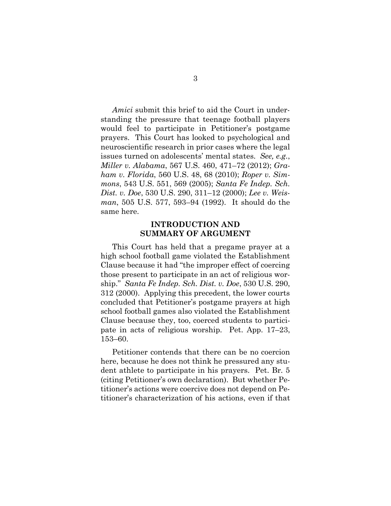*Amici* submit this brief to aid the Court in understanding the pressure that teenage football players would feel to participate in Petitioner's postgame prayers. This Court has looked to psychological and neuroscientific research in prior cases where the legal issues turned on adolescents' mental states. *See, e.g.*, *Miller v. Alabama*, 567 U.S. 460, 471–72 (2012); *Graham v. Florida*, 560 U.S. 48, 68 (2010); *Roper v. Simmons*, 543 U.S. 551, 569 (2005); *Santa Fe Indep. Sch. Dist. v. Doe*, 530 U.S. 290, 311–12 (2000); *Lee v. Weisman*, 505 U.S. 577, 593–94 (1992). It should do the same here.

#### **INTRODUCTION AND SUMMARY OF ARGUMENT**

<span id="page-8-0"></span>This Court has held that a pregame prayer at a high school football game violated the Establishment Clause because it had "the improper effect of coercing those present to participate in an act of religious worship." *Santa Fe Indep. Sch. Dist. v. Doe*, 530 U.S. 290, 312 (2000). Applying this precedent, the lower courts concluded that Petitioner's postgame prayers at high school football games also violated the Establishment Clause because they, too, coerced students to participate in acts of religious worship. Pet. App. 17–23, 153–60.

Petitioner contends that there can be no coercion here, because he does not think he pressured any student athlete to participate in his prayers. Pet. Br. 5 (citing Petitioner's own declaration). But whether Petitioner's actions were coercive does not depend on Petitioner's characterization of his actions, even if that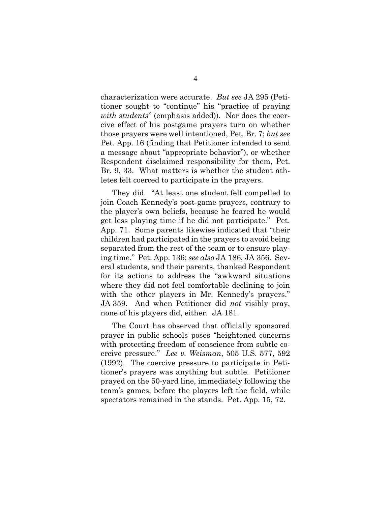characterization were accurate. *But see* JA 295 (Petitioner sought to "continue" his "practice of praying *with students*" (emphasis added)). Nor does the coercive effect of his postgame prayers turn on whether those prayers were well intentioned, Pet. Br. 7; *but see*  Pet. App. 16 (finding that Petitioner intended to send a message about "appropriate behavior"), or whether Respondent disclaimed responsibility for them, Pet. Br. 9, 33. What matters is whether the student athletes felt coerced to participate in the prayers.

They did. "At least one student felt compelled to join Coach Kennedy's post-game prayers, contrary to the player's own beliefs, because he feared he would get less playing time if he did not participate." Pet. App. 71. Some parents likewise indicated that "their children had participated in the prayers to avoid being separated from the rest of the team or to ensure playing time." Pet. App. 136; *see also* JA 186, JA 356. Several students, and their parents, thanked Respondent for its actions to address the "awkward situations where they did not feel comfortable declining to join with the other players in Mr. Kennedy's prayers." JA 359. And when Petitioner did *not* visibly pray, none of his players did, either. JA 181.

The Court has observed that officially sponsored prayer in public schools poses "heightened concerns with protecting freedom of conscience from subtle coercive pressure." *Lee v. Weisman*, 505 U.S. 577, 592 (1992). The coercive pressure to participate in Petitioner's prayers was anything but subtle. Petitioner prayed on the 50-yard line, immediately following the team's games, before the players left the field, while spectators remained in the stands. Pet. App. 15, 72.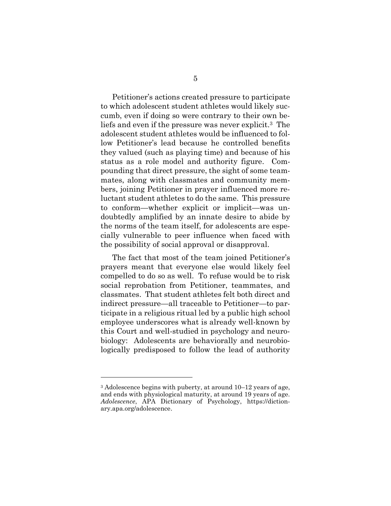Petitioner's actions created pressure to participate to which adolescent student athletes would likely succumb, even if doing so were contrary to their own beliefs and even if the pressure was never explicit. <sup>3</sup> The adolescent student athletes would be influenced to follow Petitioner's lead because he controlled benefits they valued (such as playing time) and because of his status as a role model and authority figure. Compounding that direct pressure, the sight of some teammates, along with classmates and community members, joining Petitioner in prayer influenced more reluctant student athletes to do the same. This pressure to conform—whether explicit or implicit—was undoubtedly amplified by an innate desire to abide by the norms of the team itself, for adolescents are especially vulnerable to peer influence when faced with the possibility of social approval or disapproval.

The fact that most of the team joined Petitioner's prayers meant that everyone else would likely feel compelled to do so as well. To refuse would be to risk social reprobation from Petitioner, teammates, and classmates. That student athletes felt both direct and indirect pressure—all traceable to Petitioner—to participate in a religious ritual led by a public high school employee underscores what is already well-known by this Court and well-studied in psychology and neurobiology: Adolescents are behaviorally and neurobiologically predisposed to follow the lead of authority

l

<sup>3</sup> Adolescence begins with puberty, at around 10–12 years of age, and ends with physiological maturity, at around 19 years of age. *Adolescence*, APA Dictionary of Psychology, https://dictionary.apa.org/adolescence.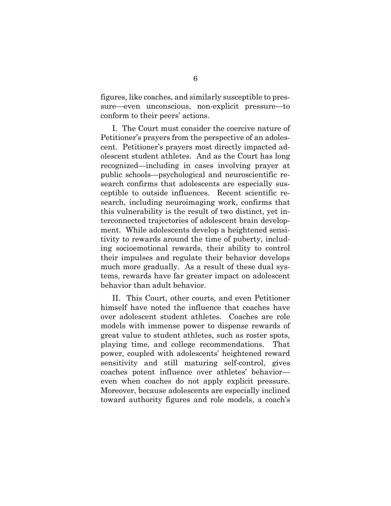figures, like coaches, and similarly susceptible to pressure—even unconscious, non-explicit pressure—to conform to their peers' actions.

I. The Court must consider the coercive nature of Petitioner's prayers from the perspective of an adolescent. Petitioner's prayers most directly impacted adolescent student athletes. And as the Court has long recognized—including in cases involving prayer at public schools—psychological and neuroscientific research confirms that adolescents are especially susceptible to outside influences. Recent scientific research, including neuroimaging work, confirms that this vulnerability is the result of two distinct, yet interconnected trajectories of adolescent brain development. While adolescents develop a heightened sensitivity to rewards around the time of puberty, including socioemotional rewards, their ability to control their impulses and regulate their behavior develops much more gradually. As a result of these dual systems, rewards have far greater impact on adolescent behavior than adult behavior.

II. This Court, other courts, and even Petitioner himself have noted the influence that coaches have over adolescent student athletes. Coaches are role models with immense power to dispense rewards of great value to student athletes, such as roster spots, playing time, and college recommendations. That power, coupled with adolescents' heightened reward sensitivity and still maturing self-control, gives coaches potent influence over athletes' behavior even when coaches do not apply explicit pressure. Moreover, because adolescents are especially inclined toward authority figures and role models, a coach's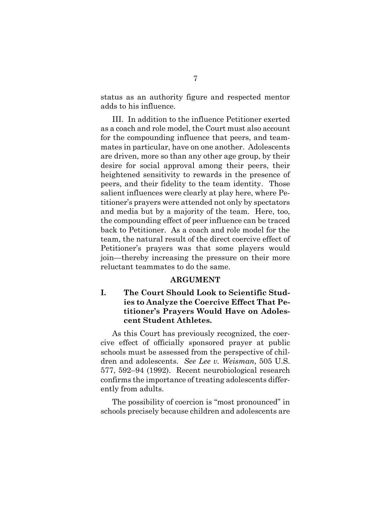status as an authority figure and respected mentor adds to his influence.

III. In addition to the influence Petitioner exerted as a coach and role model, the Court must also account for the compounding influence that peers, and teammates in particular, have on one another. Adolescents are driven, more so than any other age group, by their desire for social approval among their peers, their heightened sensitivity to rewards in the presence of peers, and their fidelity to the team identity. Those salient influences were clearly at play here, where Petitioner's prayers were attended not only by spectators and media but by a majority of the team. Here, too, the compounding effect of peer influence can be traced back to Petitioner. As a coach and role model for the team, the natural result of the direct coercive effect of Petitioner's prayers was that some players would join—thereby increasing the pressure on their more reluctant teammates to do the same.

#### **ARGUMENT**

## <span id="page-12-1"></span><span id="page-12-0"></span>**I. The Court Should Look to Scientific Studies to Analyze the Coercive Effect That Petitioner's Prayers Would Have on Adolescent Student Athletes.**

As this Court has previously recognized, the coercive effect of officially sponsored prayer at public schools must be assessed from the perspective of children and adolescents. *See Lee v. Weisman*, 505 U.S. 577, 592–94 (1992). Recent neurobiological research confirms the importance of treating adolescents differently from adults.

The possibility of coercion is "most pronounced" in schools precisely because children and adolescents are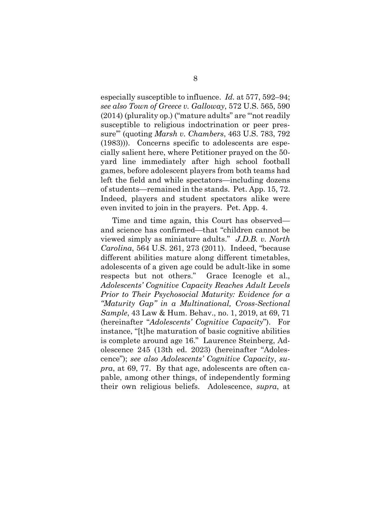especially susceptible to influence. *Id.* at 577, 592–94; *see also Town of Greece v. Galloway*, 572 U.S. 565, 590 (2014) (plurality op.) ("mature adults" are "'not readily susceptible to religious indoctrination or peer pressure'" (quoting *Marsh v. Chambers*, 463 U.S. 783, 792 (1983))). Concerns specific to adolescents are especially salient here, where Petitioner prayed on the 50 yard line immediately after high school football games, before adolescent players from both teams had left the field and while spectators—including dozens of students—remained in the stands. Pet. App. 15, 72. Indeed, players and student spectators alike were even invited to join in the prayers. Pet. App. 4.

Time and time again, this Court has observed and science has confirmed—that "children cannot be viewed simply as miniature adults." *J.D.B. v. North Carolina*, 564 U.S. 261, 273 (2011). Indeed, "because different abilities mature along different timetables, adolescents of a given age could be adult-like in some respects but not others." Grace Icenogle et al., *Adolescents' Cognitive Capacity Reaches Adult Levels Prior to Their Psychosocial Maturity: Evidence for a "Maturity Gap" in a Multinational, Cross-Sectional Sample*, 43 Law & Hum. Behav., no. 1, 2019, at 69, 71 (hereinafter "*Adolescents' Cognitive Capacity*"). For instance, "[t]he maturation of basic cognitive abilities is complete around age 16." Laurence Steinberg, Adolescence 245 (13th ed. 2023) (hereinafter "Adolescence"); *see also Adolescents' Cognitive Capacity*, *supra*, at 69, 77. By that age, adolescents are often capable, among other things, of independently forming their own religious beliefs. Adolescence, *supra*, at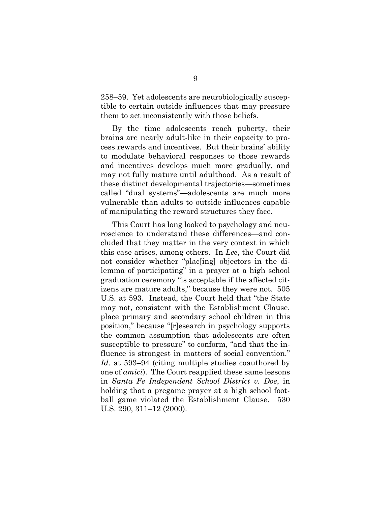258–59. Yet adolescents are neurobiologically susceptible to certain outside influences that may pressure them to act inconsistently with those beliefs.

By the time adolescents reach puberty, their brains are nearly adult-like in their capacity to process rewards and incentives. But their brains' ability to modulate behavioral responses to those rewards and incentives develops much more gradually, and may not fully mature until adulthood. As a result of these distinct developmental trajectories—sometimes called "dual systems"—adolescents are much more vulnerable than adults to outside influences capable of manipulating the reward structures they face.

This Court has long looked to psychology and neuroscience to understand these differences—and concluded that they matter in the very context in which this case arises, among others. In *Lee*, the Court did not consider whether "plac[ing] objectors in the dilemma of participating" in a prayer at a high school graduation ceremony "is acceptable if the affected citizens are mature adults," because they were not. 505 U.S. at 593. Instead, the Court held that "the State may not, consistent with the Establishment Clause, place primary and secondary school children in this position," because "[r]esearch in psychology supports the common assumption that adolescents are often susceptible to pressure" to conform, "and that the influence is strongest in matters of social convention." *Id.* at 593–94 (citing multiple studies coauthored by one of *amici*). The Court reapplied these same lessons in *Santa Fe Independent School District v. Doe*, in holding that a pregame prayer at a high school football game violated the Establishment Clause. 530 U.S. 290, 311–12 (2000).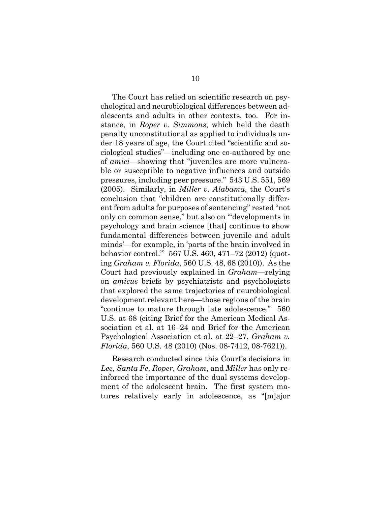The Court has relied on scientific research on psychological and neurobiological differences between adolescents and adults in other contexts, too. For instance, in *Roper v. Simmons*, which held the death penalty unconstitutional as applied to individuals under 18 years of age, the Court cited "scientific and sociological studies"—including one co-authored by one of *amici*—showing that "juveniles are more vulnerable or susceptible to negative influences and outside pressures, including peer pressure." 543 U.S. 551, 569 (2005). Similarly, in *Miller v. Alabama*, the Court's conclusion that "children are constitutionally different from adults for purposes of sentencing" rested "not only on common sense," but also on "'developments in psychology and brain science [that] continue to show fundamental differences between juvenile and adult minds'—for example, in 'parts of the brain involved in behavior control.'" 567 U.S. 460, 471–72 (2012) (quoting *Graham v. Florida*, 560 U.S. 48, 68 (2010)). As the Court had previously explained in *Graham*—relying on *amicus* briefs by psychiatrists and psychologists that explored the same trajectories of neurobiological development relevant here—those regions of the brain "continue to mature through late adolescence." 560 U.S. at 68 (citing Brief for the American Medical Association et al. at 16–24 and Brief for the American Psychological Association et al. at 22–27, *Graham v. Florida*, 560 U.S. 48 (2010) (Nos. 08-7412, 08-7621)).

Research conducted since this Court's decisions in *Lee*, *Santa Fe*, *Roper*, *Graham*, and *Miller* has only reinforced the importance of the dual systems development of the adolescent brain. The first system matures relatively early in adolescence, as "[m]ajor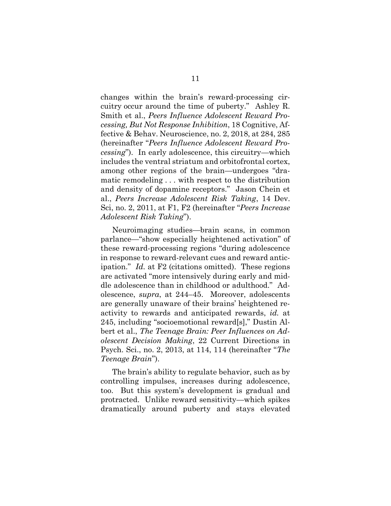changes within the brain's reward-processing circuitry occur around the time of puberty." Ashley R. Smith et al., *Peers Influence Adolescent Reward Processing, But Not Response Inhibition*, 18 Cognitive, Affective & Behav. Neuroscience, no. 2, 2018, at 284, 285 (hereinafter "*Peers Influence Adolescent Reward Processing*"). In early adolescence, this circuitry—which includes the ventral striatum and orbitofrontal cortex, among other regions of the brain—undergoes "dramatic remodeling . . . with respect to the distribution and density of dopamine receptors." Jason Chein et al., *Peers Increase Adolescent Risk Taking*, 14 Dev. Sci, no. 2, 2011, at F1, F2 (hereinafter "*Peers Increase Adolescent Risk Taking*").

Neuroimaging studies—brain scans, in common parlance—"show especially heightened activation" of these reward-processing regions "during adolescence in response to reward-relevant cues and reward anticipation." *Id.* at F2 (citations omitted). These regions are activated "more intensively during early and middle adolescence than in childhood or adulthood." Adolescence, *supra*, at 244–45. Moreover, adolescents are generally unaware of their brains' heightened reactivity to rewards and anticipated rewards, *id.* at 245, including "socioemotional reward[s]," Dustin Albert et al., *The Teenage Brain: Peer Influences on Adolescent Decision Making*, 22 Current Directions in Psych. Sci., no. 2, 2013, at 114, 114 (hereinafter "*The Teenage Brain*").

The brain's ability to regulate behavior, such as by controlling impulses, increases during adolescence, too. But this system's development is gradual and protracted. Unlike reward sensitivity—which spikes dramatically around puberty and stays elevated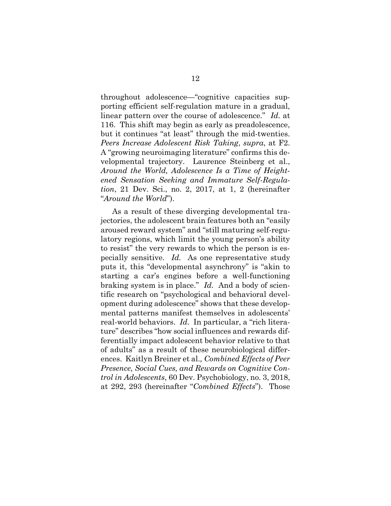throughout adolescence—"cognitive capacities supporting efficient self-regulation mature in a gradual, linear pattern over the course of adolescence." *Id.* at 116. This shift may begin as early as preadolescence, but it continues "at least" through the mid-twenties. *Peers Increase Adolescent Risk Taking*, *supra*, at F2. A "growing neuroimaging literature" confirms this developmental trajectory. Laurence Steinberg et al., *Around the World, Adolescence Is a Time of Heightened Sensation Seeking and Immature Self-Regulation*, 21 Dev. Sci., no. 2, 2017, at 1, 2 (hereinafter "*Around the World*").

As a result of these diverging developmental trajectories, the adolescent brain features both an "easily aroused reward system" and "still maturing self-regulatory regions, which limit the young person's ability to resist" the very rewards to which the person is especially sensitive. *Id.* As one representative study puts it, this "developmental asynchrony" is "akin to starting a car's engines before a well-functioning braking system is in place." *Id.* And a body of scientific research on "psychological and behavioral development during adolescence" shows that these developmental patterns manifest themselves in adolescents' real-world behaviors. *Id.* In particular, a "rich literature" describes "how social influences and rewards differentially impact adolescent behavior relative to that of adults" as a result of these neurobiological differences. Kaitlyn Breiner et al.*, Combined Effects of Peer Presence, Social Cues, and Rewards on Cognitive Control in Adolescents*, 60 Dev. Psychobiology, no. 3, 2018, at 292, 293 (hereinafter "*Combined Effects*"). Those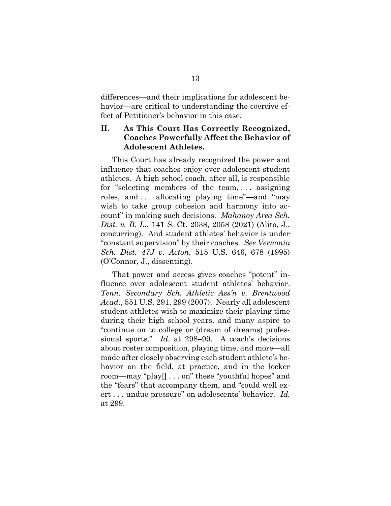differences—and their implications for adolescent behavior—are critical to understanding the coercive effect of Petitioner's behavior in this case.

#### <span id="page-18-0"></span>**II. As This Court Has Correctly Recognized, Coaches Powerfully Affect the Behavior of Adolescent Athletes.**

This Court has already recognized the power and influence that coaches enjoy over adolescent student athletes. A high school coach, after all, is responsible for "selecting members of the team, . . . assigning roles, and . . . allocating playing time"—and "may wish to take group cohesion and harmony into account" in making such decisions. *Mahanoy Area Sch. Dist. v. B. L.*, 141 S. Ct. 2038, 2058 (2021) (Alito, J., concurring). And student athletes' behavior is under "constant supervision" by their coaches. *See Vernonia Sch. Dist. 47J v. Acton*, 515 U.S. 646, 678 (1995) (O'Connor, J., dissenting).

That power and access gives coaches "potent" influence over adolescent student athletes' behavior. *Tenn. Secondary Sch. Athletic Ass'n v. Brentwood Acad.*, 551 U.S. 291, 299 (2007). Nearly all adolescent student athletes wish to maximize their playing time during their high school years, and many aspire to "continue on to college or (dream of dreams) professional sports." *Id.* at 298–99. A coach's decisions about roster composition, playing time, and more—all made after closely observing each student athlete's behavior on the field, at practice, and in the locker room—may "play[] . . . on" these "youthful hopes" and the "fears" that accompany them, and "could well exert . . . undue pressure" on adolescents' behavior. *Id.* at 299.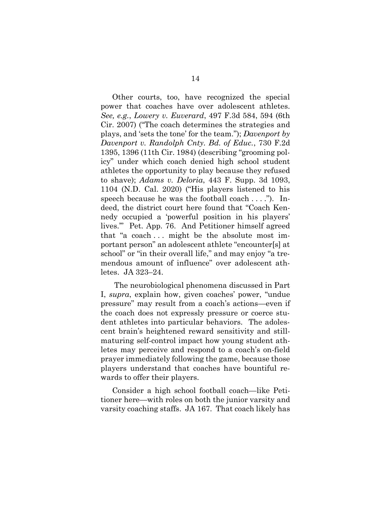Other courts, too, have recognized the special power that coaches have over adolescent athletes. *See, e.g.*, *Lowery v. Euverard*, 497 F.3d 584, 594 (6th Cir. 2007) ("The coach determines the strategies and plays, and 'sets the tone' for the team."); *Davenport by Davenport v. Randolph Cnty. Bd. of Educ.*, 730 F.2d 1395, 1396 (11th Cir. 1984) (describing "grooming policy" under which coach denied high school student athletes the opportunity to play because they refused to shave); *Adams v. Deloria*, 443 F. Supp. 3d 1093, 1104 (N.D. Cal. 2020) ("His players listened to his speech because he was the football coach . . . ."). Indeed, the district court here found that "Coach Kennedy occupied a 'powerful position in his players' lives.'" Pet. App. 76. And Petitioner himself agreed that "a coach . . . might be the absolute most important person" an adolescent athlete "encounter[s] at school" or "in their overall life," and may enjoy "a tremendous amount of influence" over adolescent athletes. JA 323–24.

The neurobiological phenomena discussed in Part I, *supra*, explain how, given coaches' power, "undue pressure" may result from a coach's actions—even if the coach does not expressly pressure or coerce student athletes into particular behaviors. The adolescent brain's heightened reward sensitivity and stillmaturing self-control impact how young student athletes may perceive and respond to a coach's on-field prayer immediately following the game, because those players understand that coaches have bountiful rewards to offer their players.

Consider a high school football coach—like Petitioner here—with roles on both the junior varsity and varsity coaching staffs. JA 167. That coach likely has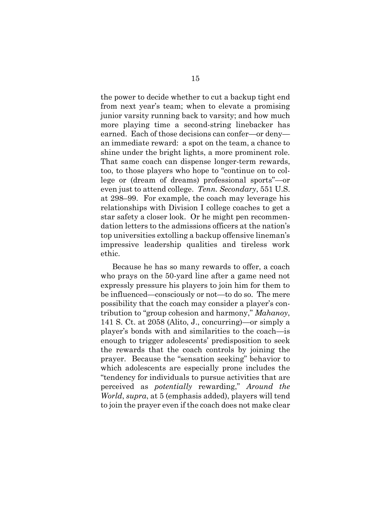the power to decide whether to cut a backup tight end from next year's team; when to elevate a promising junior varsity running back to varsity; and how much more playing time a second-string linebacker has earned. Each of those decisions can confer—or deny an immediate reward: a spot on the team, a chance to shine under the bright lights, a more prominent role. That same coach can dispense longer-term rewards, too, to those players who hope to "continue on to college or (dream of dreams) professional sports"—or even just to attend college. *Tenn. Secondary*, 551 U.S. at 298–99. For example, the coach may leverage his relationships with Division I college coaches to get a star safety a closer look. Or he might pen recommendation letters to the admissions officers at the nation's top universities extolling a backup offensive lineman's impressive leadership qualities and tireless work ethic.

Because he has so many rewards to offer, a coach who prays on the 50-yard line after a game need not expressly pressure his players to join him for them to be influenced—consciously or not—to do so. The mere possibility that the coach may consider a player's contribution to "group cohesion and harmony," *Mahanoy*, 141 S. Ct. at 2058 (Alito, J., concurring)—or simply a player's bonds with and similarities to the coach—is enough to trigger adolescents' predisposition to seek the rewards that the coach controls by joining the prayer. Because the "sensation seeking" behavior to which adolescents are especially prone includes the "tendency for individuals to pursue activities that are perceived as *potentially* rewarding," *Around the World*, *supra*, at 5 (emphasis added), players will tend to join the prayer even if the coach does not make clear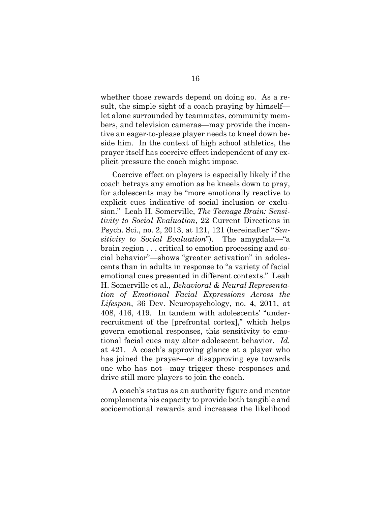whether those rewards depend on doing so. As a result, the simple sight of a coach praying by himself let alone surrounded by teammates, community members, and television cameras—may provide the incentive an eager-to-please player needs to kneel down beside him. In the context of high school athletics, the prayer itself has coercive effect independent of any explicit pressure the coach might impose.

Coercive effect on players is especially likely if the coach betrays any emotion as he kneels down to pray, for adolescents may be "more emotionally reactive to explicit cues indicative of social inclusion or exclusion." Leah H. Somerville, *The Teenage Brain: Sensitivity to Social Evaluation*, 22 Current Directions in Psych. Sci., no. 2, 2013, at 121, 121 (hereinafter "*Sensitivity to Social Evaluation*"). The amygdala—"a brain region . . . critical to emotion processing and social behavior"—shows "greater activation" in adolescents than in adults in response to "a variety of facial emotional cues presented in different contexts." Leah H. Somerville et al., *Behavioral & Neural Representation of Emotional Facial Expressions Across the Lifespan*, 36 Dev. Neuropsychology, no. 4, 2011, at 408, 416, 419. In tandem with adolescents' "underrecruitment of the [prefrontal cortex]," which helps govern emotional responses, this sensitivity to emotional facial cues may alter adolescent behavior. *Id.* at 421. A coach's approving glance at a player who has joined the prayer—or disapproving eye towards one who has not—may trigger these responses and drive still more players to join the coach.

A coach's status as an authority figure and mentor complements his capacity to provide both tangible and socioemotional rewards and increases the likelihood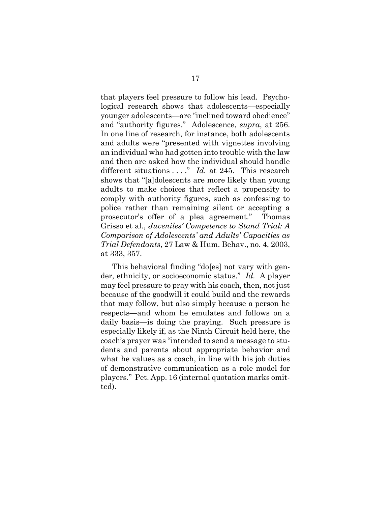that players feel pressure to follow his lead. Psychological research shows that adolescents—especially younger adolescents—are "inclined toward obedience" and "authority figures." Adolescence, *supra*, at 256. In one line of research, for instance, both adolescents and adults were "presented with vignettes involving an individual who had gotten into trouble with the law and then are asked how the individual should handle different situations . . . ." *Id.* at 245. This research shows that "[a]dolescents are more likely than young adults to make choices that reflect a propensity to comply with authority figures, such as confessing to police rather than remaining silent or accepting a prosecutor's offer of a plea agreement." Thomas Grisso et al., *Juveniles' Competence to Stand Trial: A Comparison of Adolescents' and Adults' Capacities as Trial Defendants*, 27 Law & Hum. Behav., no. 4, 2003, at 333, 357.

This behavioral finding "do[es] not vary with gender, ethnicity, or socioeconomic status." *Id.* A player may feel pressure to pray with his coach, then, not just because of the goodwill it could build and the rewards that may follow, but also simply because a person he respects—and whom he emulates and follows on a daily basis—is doing the praying. Such pressure is especially likely if, as the Ninth Circuit held here, the coach's prayer was "intended to send a message to students and parents about appropriate behavior and what he values as a coach, in line with his job duties of demonstrative communication as a role model for players." Pet. App. 16 (internal quotation marks omitted).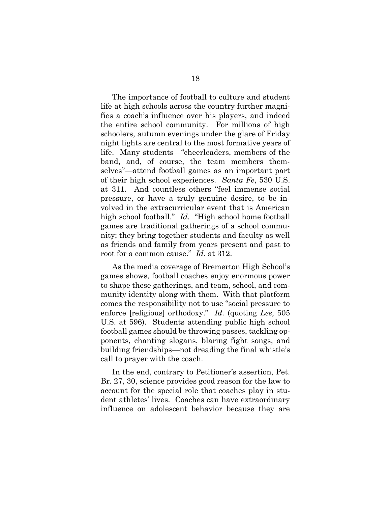The importance of football to culture and student life at high schools across the country further magnifies a coach's influence over his players, and indeed the entire school community. For millions of high schoolers, autumn evenings under the glare of Friday night lights are central to the most formative years of life. Many students—"cheerleaders, members of the band, and, of course, the team members themselves"—attend football games as an important part of their high school experiences. *Santa Fe*, 530 U.S. at 311. And countless others "feel immense social pressure, or have a truly genuine desire, to be involved in the extracurricular event that is American high school football." *Id.* "High school home football games are traditional gatherings of a school community; they bring together students and faculty as well as friends and family from years present and past to root for a common cause." *Id.* at 312.

As the media coverage of Bremerton High School's games shows, football coaches enjoy enormous power to shape these gatherings, and team, school, and community identity along with them. With that platform comes the responsibility not to use "social pressure to enforce [religious] orthodoxy." *Id.* (quoting *Lee*, 505 U.S. at 596). Students attending public high school football games should be throwing passes, tackling opponents, chanting slogans, blaring fight songs, and building friendships—not dreading the final whistle's call to prayer with the coach.

In the end, contrary to Petitioner's assertion, Pet. Br. 27, 30, science provides good reason for the law to account for the special role that coaches play in student athletes' lives. Coaches can have extraordinary influence on adolescent behavior because they are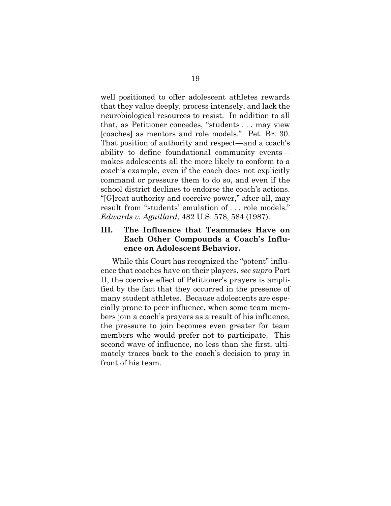well positioned to offer adolescent athletes rewards that they value deeply, process intensely, and lack the neurobiological resources to resist. In addition to all that, as Petitioner concedes, "students . . . may view [coaches] as mentors and role models." Pet. Br. 30. That position of authority and respect—and a coach's ability to define foundational community events makes adolescents all the more likely to conform to a coach's example, even if the coach does not explicitly command or pressure them to do so, and even if the school district declines to endorse the coach's actions. "[G]reat authority and coercive power," after all, may result from "students' emulation of . . . role models." *Edwards v. Aguillard*, 482 U.S. 578, 584 (1987).

### <span id="page-24-0"></span>**III. The Influence that Teammates Have on Each Other Compounds a Coach's Influence on Adolescent Behavior.**

While this Court has recognized the "potent" influence that coaches have on their players, *see supra* Part II, the coercive effect of Petitioner's prayers is amplified by the fact that they occurred in the presence of many student athletes. Because adolescents are especially prone to peer influence, when some team members join a coach's prayers as a result of his influence, the pressure to join becomes even greater for team members who would prefer not to participate. This second wave of influence, no less than the first, ultimately traces back to the coach's decision to pray in front of his team.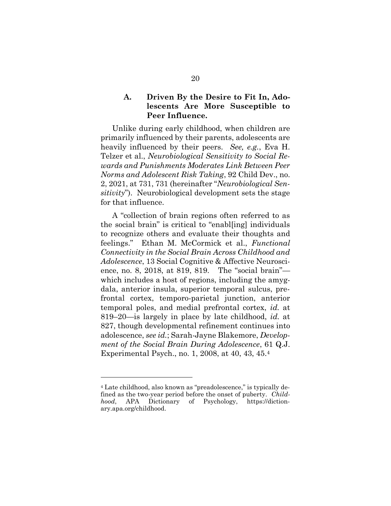#### <span id="page-25-0"></span>**A. Driven By the Desire to Fit In, Adolescents Are More Susceptible to Peer Influence.**

Unlike during early childhood, when children are primarily influenced by their parents, adolescents are heavily influenced by their peers. *See, e.g.*, Eva H. Telzer et al., *Neurobiological Sensitivity to Social Rewards and Punishments Moderates Link Between Peer Norms and Adolescent Risk Taking*, 92 Child Dev., no. 2, 2021, at 731, 731 (hereinafter "*Neurobiological Sensitivity*"). Neurobiological development sets the stage for that influence.

A "collection of brain regions often referred to as the social brain" is critical to "enabl[ing] individuals to recognize others and evaluate their thoughts and feelings." Ethan M. McCormick et al., *Functional Connectivity in the Social Brain Across Childhood and Adolescence*, 13 Social Cognitive & Affective Neuroscience, no. 8, 2018, at 819, 819. The "social brain" which includes a host of regions, including the amygdala, anterior insula, superior temporal sulcus, prefrontal cortex, temporo-parietal junction, anterior temporal poles, and medial prefrontal cortex, *id.* at 819–20—is largely in place by late childhood, *id.* at 827, though developmental refinement continues into adolescence, *see id.*; Sarah-Jayne Blakemore, *Development of the Social Brain During Adolescence*, 61 Q.J. Experimental Psych., no. 1, 2008, at 40, 43, 45.<sup>4</sup>

l

<sup>4</sup> Late childhood, also known as "preadolescence," is typically defined as the two-year period before the onset of puberty. *Childhood*, APA Dictionary of Psychology, https://dictionary.apa.org/childhood.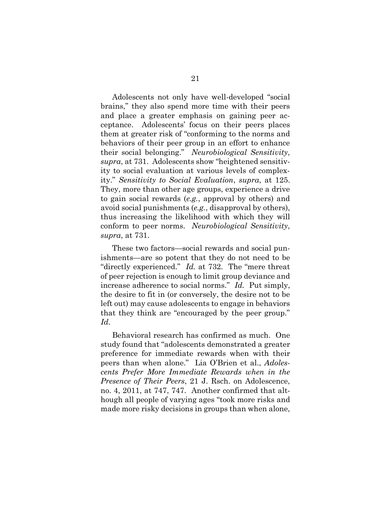Adolescents not only have well-developed "social brains," they also spend more time with their peers and place a greater emphasis on gaining peer acceptance. Adolescents' focus on their peers places them at greater risk of "conforming to the norms and behaviors of their peer group in an effort to enhance their social belonging." *Neurobiological Sensitivity*, *supra*, at 731. Adolescents show "heightened sensitivity to social evaluation at various levels of complexity." *Sensitivity to Social Evaluation*, *supra*, at 125. They, more than other age groups, experience a drive to gain social rewards (*e.g.*, approval by others) and avoid social punishments (*e.g.*, disapproval by others), thus increasing the likelihood with which they will conform to peer norms. *Neurobiological Sensitivity*, *supra*, at 731.

These two factors—social rewards and social punishments—are so potent that they do not need to be "directly experienced." *Id.* at 732.The "mere threat of peer rejection is enough to limit group deviance and increase adherence to social norms." *Id.* Put simply, the desire to fit in (or conversely, the desire not to be left out) may cause adolescents to engage in behaviors that they think are "encouraged by the peer group." *Id.* 

Behavioral research has confirmed as much. One study found that "adolescents demonstrated a greater preference for immediate rewards when with their peers than when alone." Lia O'Brien et al., *Adolescents Prefer More Immediate Rewards when in the Presence of Their Peers*, 21 J. Rsch. on Adolescence, no. 4, 2011, at 747, 747. Another confirmed that although all people of varying ages "took more risks and made more risky decisions in groups than when alone,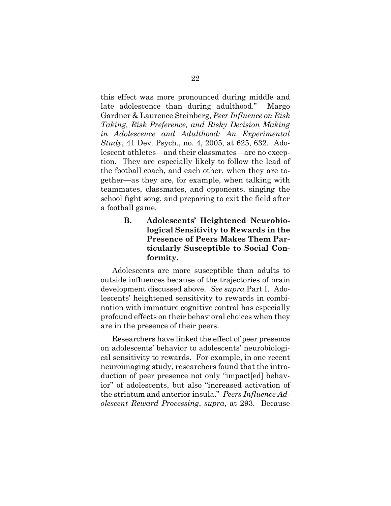this effect was more pronounced during middle and late adolescence than during adulthood." Margo Gardner & Laurence Steinberg, *Peer Influence on Risk Taking, Risk Preference, and Risky Decision Making in Adolescence and Adulthood: An Experimental Study*, 41 Dev. Psych., no. 4, 2005, at 625, 632. Adolescent athletes—and their classmates—are no exception. They are especially likely to follow the lead of the football coach, and each other, when they are together—as they are, for example, when talking with teammates, classmates, and opponents, singing the school fight song, and preparing to exit the field after a football game.

> <span id="page-27-0"></span>**B. Adolescents' Heightened Neurobiological Sensitivity to Rewards in the Presence of Peers Makes Them Particularly Susceptible to Social Conformity.**

Adolescents are more susceptible than adults to outside influences because of the trajectories of brain development discussed above. *See supra* Part I. Adolescents' heightened sensitivity to rewards in combination with immature cognitive control has especially profound effects on their behavioral choices when they are in the presence of their peers.

Researchers have linked the effect of peer presence on adolescents' behavior to adolescents' neurobiological sensitivity to rewards. For example, in one recent neuroimaging study, researchers found that the introduction of peer presence not only "impact[ed] behavior" of adolescents, but also "increased activation of the striatum and anterior insula." *Peers Influence Adolescent Reward Processing*, *supra*, at 293. Because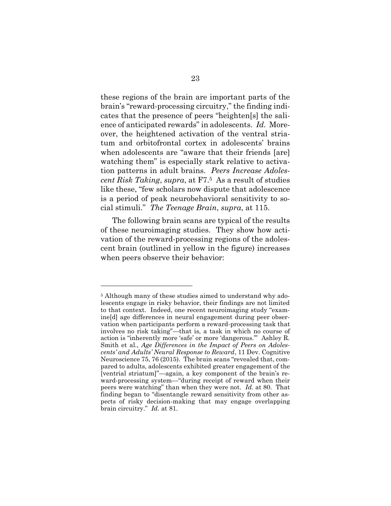these regions of the brain are important parts of the brain's "reward-processing circuitry," the finding indicates that the presence of peers "heighten[s] the salience of anticipated rewards" in adolescents. *Id.* Moreover, the heightened activation of the ventral striatum and orbitofrontal cortex in adolescents' brains when adolescents are "aware that their friends [are] watching them" is especially stark relative to activation patterns in adult brains. *Peers Increase Adolescent Risk Taking*, *supra*, at F7. <sup>5</sup> As a result of studies like these, "few scholars now dispute that adolescence is a period of peak neurobehavioral sensitivity to social stimuli." *The Teenage Brain*, *supra*, at 115.

The following brain scans are typical of the results of these neuroimaging studies. They show how activation of the reward-processing regions of the adolescent brain (outlined in yellow in the figure) increases when peers observe their behavior:

l

<sup>&</sup>lt;sup>5</sup> Although many of these studies aimed to understand why adolescents engage in risky behavior, their findings are not limited to that context. Indeed, one recent neuroimaging study "examine[d] age differences in neural engagement during peer observation when participants perform a reward-processing task that involves no risk taking"—that is, a task in which no course of action is "inherently more 'safe' or more 'dangerous.'" Ashley R. Smith et al., *Age Differences in the Impact of Peers on Adolescents' and Adults' Neural Response to Reward*, 11 Dev. Cognitive Neuroscience 75, 76 (2015). The brain scans "revealed that, compared to adults, adolescents exhibited greater engagement of the [ventrial striatum]"—again, a key component of the brain's reward-processing system—"during receipt of reward when their peers were watching" than when they were not. *Id.* at 80. That finding began to "disentangle reward sensitivity from other aspects of risky decision-making that may engage overlapping brain circuitry." *Id.* at 81.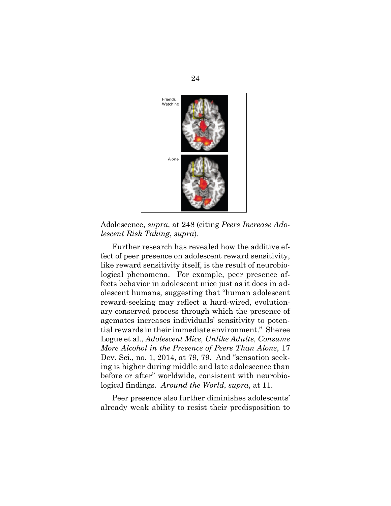

Adolescence, *supra*, at 248 (citing *Peers Increase Adolescent Risk Taking*, *supra*).

Further research has revealed how the additive effect of peer presence on adolescent reward sensitivity, like reward sensitivity itself, is the result of neurobiological phenomena. For example, peer presence affects behavior in adolescent mice just as it does in adolescent humans, suggesting that "human adolescent reward-seeking may reflect a hard-wired, evolutionary conserved process through which the presence of agemates increases individuals' sensitivity to potential rewards in their immediate environment." Sheree Logue et al., *Adolescent Mice, Unlike Adults, Consume More Alcohol in the Presence of Peers Than Alone*, 17 Dev. Sci., no. 1, 2014, at 79, 79. And "sensation seeking is higher during middle and late adolescence than before or after" worldwide, consistent with neurobiological findings. *Around the World*, *supra*, at 11.

Peer presence also further diminishes adolescents' already weak ability to resist their predisposition to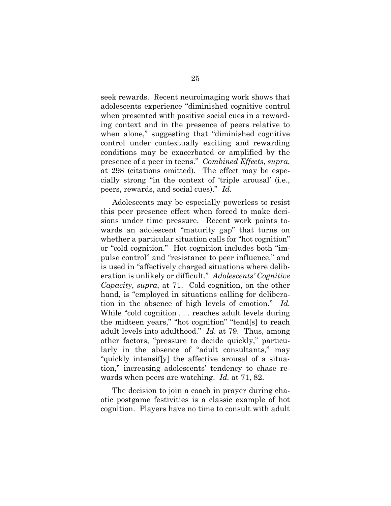seek rewards. Recent neuroimaging work shows that adolescents experience "diminished cognitive control when presented with positive social cues in a rewarding context and in the presence of peers relative to when alone," suggesting that "diminished cognitive control under contextually exciting and rewarding conditions may be exacerbated or amplified by the presence of a peer in teens." *Combined Effects*, *supra*, at 298 (citations omitted). The effect may be especially strong "in the context of 'triple arousal' (i.e., peers, rewards, and social cues)." *Id.* 

Adolescents may be especially powerless to resist this peer presence effect when forced to make decisions under time pressure. Recent work points towards an adolescent "maturity gap" that turns on whether a particular situation calls for "hot cognition" or "cold cognition." Hot cognition includes both "impulse control" and "resistance to peer influence," and is used in "affectively charged situations where deliberation is unlikely or difficult." *Adolescents' Cognitive Capacity*, *supra*, at 71. Cold cognition, on the other hand, is "employed in situations calling for deliberation in the absence of high levels of emotion." *Id.* While "cold cognition . . . reaches adult levels during the midteen years," "hot cognition" "tend[s] to reach adult levels into adulthood." *Id.* at 79. Thus, among other factors, "pressure to decide quickly," particularly in the absence of "adult consultants," may "quickly intensif[y] the affective arousal of a situation," increasing adolescents' tendency to chase rewards when peers are watching. *Id.* at 71, 82.

The decision to join a coach in prayer during chaotic postgame festivities is a classic example of hot cognition. Players have no time to consult with adult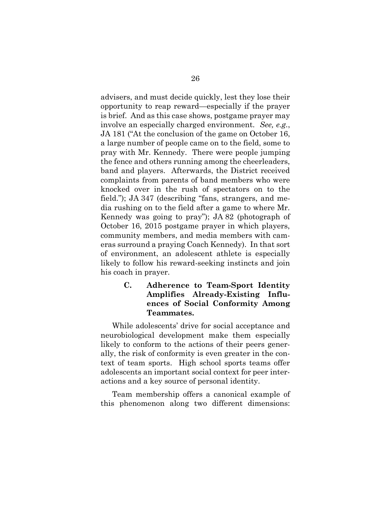advisers, and must decide quickly, lest they lose their opportunity to reap reward—especially if the prayer is brief. And as this case shows, postgame prayer may involve an especially charged environment. *See, e.g.*, JA 181 ("At the conclusion of the game on October 16, a large number of people came on to the field, some to pray with Mr. Kennedy. There were people jumping the fence and others running among the cheerleaders, band and players. Afterwards, the District received complaints from parents of band members who were knocked over in the rush of spectators on to the field."); JA 347 (describing "fans, strangers, and media rushing on to the field after a game to where Mr. Kennedy was going to pray"); JA 82 (photograph of October 16, 2015 postgame prayer in which players, community members, and media members with cameras surround a praying Coach Kennedy). In that sort of environment, an adolescent athlete is especially likely to follow his reward-seeking instincts and join his coach in prayer.

## <span id="page-31-0"></span>**C. Adherence to Team-Sport Identity Amplifies Already-Existing Influences of Social Conformity Among Teammates.**

While adolescents' drive for social acceptance and neurobiological development make them especially likely to conform to the actions of their peers generally, the risk of conformity is even greater in the context of team sports. High school sports teams offer adolescents an important social context for peer interactions and a key source of personal identity.

Team membership offers a canonical example of this phenomenon along two different dimensions: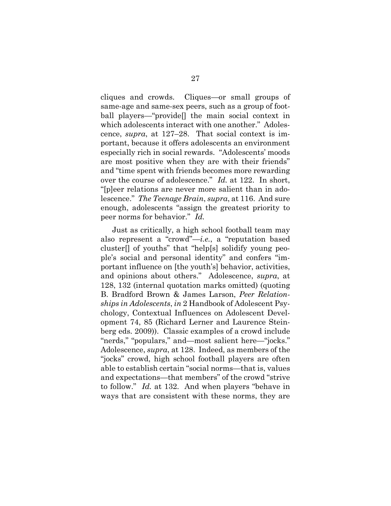cliques and crowds. Cliques—or small groups of same-age and same-sex peers, such as a group of football players—"provide[] the main social context in which adolescents interact with one another." Adolescence, *supra*, at 127–28. That social context is important, because it offers adolescents an environment especially rich in social rewards. "Adolescents' moods are most positive when they are with their friends" and "time spent with friends becomes more rewarding over the course of adolescence." *Id.* at 122. In short, "[p]eer relations are never more salient than in adolescence." *The Teenage Brain*, *supra*, at 116. And sure enough, adolescents "assign the greatest priority to peer norms for behavior." *Id.*

Just as critically, a high school football team may also represent a "crowd"—*i.e.*, a "reputation based cluster[] of youths" that "help[s] solidify young people's social and personal identity" and confers "important influence on [the youth's] behavior, activities, and opinions about others." Adolescence, *supra*, at 128, 132 (internal quotation marks omitted) (quoting B. Bradford Brown & James Larson, *Peer Relationships in Adolescents*, *in* 2 Handbook of Adolescent Psychology, Contextual Influences on Adolescent Development 74, 85 (Richard Lerner and Laurence Steinberg eds. 2009)). Classic examples of a crowd include "nerds," "populars," and—most salient here—"jocks." Adolescence, *supra*, at 128. Indeed, as members of the "jocks" crowd, high school football players are often able to establish certain "social norms—that is, values and expectations—that members" of the crowd "strive to follow." *Id.* at 132. And when players "behave in ways that are consistent with these norms, they are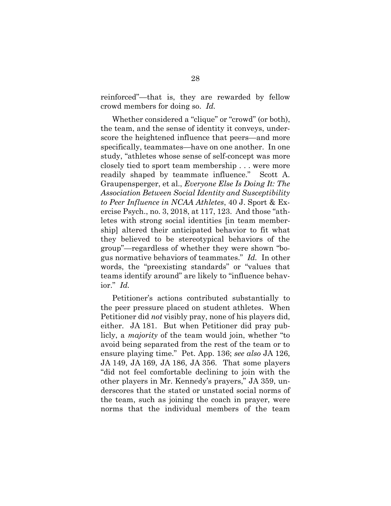reinforced"—that is, they are rewarded by fellow crowd members for doing so. *Id.*

Whether considered a "clique" or "crowd" (or both), the team, and the sense of identity it conveys, underscore the heightened influence that peers—and more specifically, teammates—have on one another. In one study, "athletes whose sense of self-concept was more closely tied to sport team membership . . . were more readily shaped by teammate influence." Scott A. Graupensperger, et al., *Everyone Else Is Doing It: The Association Between Social Identity and Susceptibility to Peer Influence in NCAA Athletes*, 40 J. Sport & Exercise Psych., no. 3, 2018, at 117, 123. And those "athletes with strong social identities [in team membership] altered their anticipated behavior to fit what they believed to be stereotypical behaviors of the group"—regardless of whether they were shown "bogus normative behaviors of teammates." *Id.* In other words, the "preexisting standards" or "values that teams identify around" are likely to "influence behavior." *Id.* 

Petitioner's actions contributed substantially to the peer pressure placed on student athletes. When Petitioner did *not* visibly pray, none of his players did, either. JA 181. But when Petitioner did pray publicly, a *majority* of the team would join, whether "to avoid being separated from the rest of the team or to ensure playing time." Pet. App. 136; *see also* JA 126, JA 149, JA 169, JA 186, JA 356. That some players "did not feel comfortable declining to join with the other players in Mr. Kennedy's prayers," JA 359, underscores that the stated or unstated social norms of the team, such as joining the coach in prayer, were norms that the individual members of the team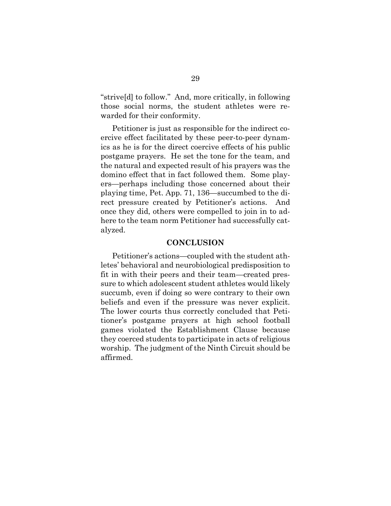"strive[d] to follow." And, more critically, in following those social norms, the student athletes were rewarded for their conformity.

Petitioner is just as responsible for the indirect coercive effect facilitated by these peer-to-peer dynamics as he is for the direct coercive effects of his public postgame prayers. He set the tone for the team, and the natural and expected result of his prayers was the domino effect that in fact followed them. Some players—perhaps including those concerned about their playing time, Pet. App. 71, 136—succumbed to the direct pressure created by Petitioner's actions. And once they did, others were compelled to join in to adhere to the team norm Petitioner had successfully catalyzed.

#### **CONCLUSION**

<span id="page-34-0"></span>Petitioner's actions—coupled with the student athletes' behavioral and neurobiological predisposition to fit in with their peers and their team—created pressure to which adolescent student athletes would likely succumb, even if doing so were contrary to their own beliefs and even if the pressure was never explicit. The lower courts thus correctly concluded that Petitioner's postgame prayers at high school football games violated the Establishment Clause because they coerced students to participate in acts of religious worship. The judgment of the Ninth Circuit should be affirmed.